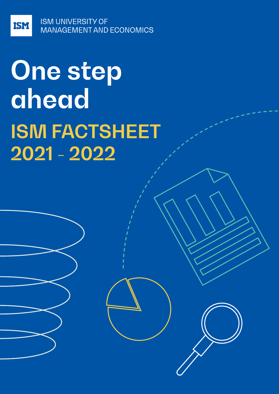**ISM UNIVERSITY OF** MANAGEMENT AND ECONOMICS

**ISM** 

# **One step ahead ISM FACTSHEET 2021 - 2022**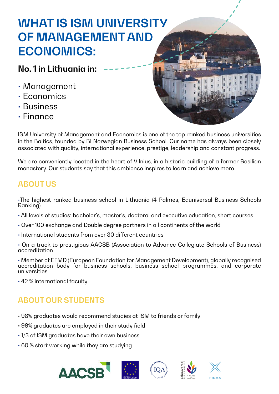## **WHAT IS ISM UNIVERSITY OF MANAGEMENT AND ECONOMICS:**

## **No. 1 in Lithuania in:**

- Management
- Economics
- Business
- Finance



ISM University of Management and Economics is one of the top-ranked business universities in the Baltics, founded by BI Norwegian Business School. Our name has always been closely associated with quality, international experience, prestige, leadership and constant progress.

We are conveniently located in the heart of Vilnius, in a historic building of a former Basilian monastery. Our students say that this ambience inspires to learn and achieve more.

## **ABOUT US**

•The highest ranked business school in Lithuania (4 Palmes, Eduniversal Business Schools Ranking)

- All levels of studies: bachelor's, master's, doctoral and executive education, short courses
- Over 100 exchange and Double degree partners in all continents of the world
- $\cdot$  International students from over 30 different countries
- On a track to prestigious AACSB (Association to Advance Collegiate Schools of Business) accreditation

• Member of EFMD (European Foundation for Management Development), globally recognised accreditation body for business schools, business school programmes, and corporate universities

• 42 % international faculty

## **ABOUT OUR STUDENTS**

- 98% graduates would recommend studies at ISM to friends or family
- 98% graduates are employed in their study field
- 1/3 of ISM graduates have their own business
- 60 % start working while they are studying







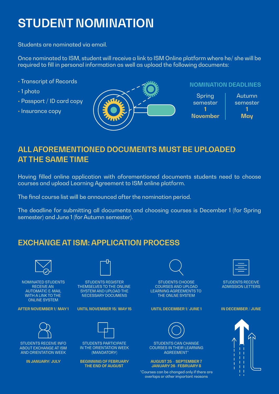## **STUDENT NOMINATION**

Students are nominated via email.

Once nominated to ISM, student will receive a link to ISM Online platform where he/ she will be required to fill in personal information as well as upload the following documents:

- Transcript of Records
- 1 photo
- Passport / ID card copy
- Insurance copy



#### **NOMINATION DEADLINES**



## **ALL AFOREMENTIONED DOCUMENTS MUST BE UPLOADED AT THE SAME TIME**

Having filled online application with aforementioned documents students need to choose courses and upload Learning Agreement to ISM online platform.

The final course list will be announced after the nomination period.

The deadline for submitting all documents and choosing courses is December 1 (for Spring semester) and June 1 (for Autumn semester).

## **EXCHANGE AT ISM: APPLICATION PROCESS**



NOMINATED STUDENTS RECEIVE AN AUTOMATIC E-MAIL WITH A LINK TO THE ONLINE SYSTEM

**AFTER NOVEMBER 1/ MAY 1**



STUDENTS RECEIVE INFO ABOUT EXCHANGE AT ISM AND ORIENTATION WEEK

**IN JANUARY/ JULY**



STUDENTS REGISTER THEMSELVES TO THE ONLINE SYSTEM AND UPLOAD THE NECESSARY DOCUMENS

**UNTIL NOVEMBER 15/ MAY 15**



STUDENTS PARTICIPATE IN THE ORIENTATION WEEK (MANDATORY)

**BEGINNING OF FEBRUARY THE END OF AUGUST** 



STUDENTS CHOOSE COURSES AND UPLOAD LEARNING AGREEMENTS TO THE ONLNE SYSTEM

#### **UNTIL DECEMBER 1/ JUNE 1**



STUDENTS CAN CHANGE COURSES IN THEIR LEARNING AGREEMENT\*

#### **AUGUST 25 – SEPTEMBER 7 JANUARY 26- FEBRUARY 8**

\*Courses can be changed only if there are overlaps or other important reasons



STUDENTS RECEIVE ADMISSION LETTERS

#### **IN DECEMBER / JUNE**

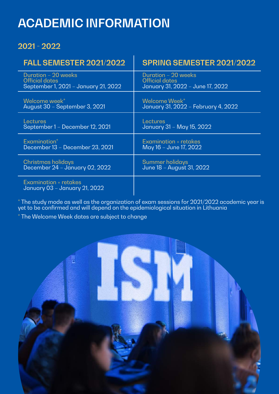## **ACADEMIC INFORMATION**

## **2021 - 2022**

| <b>FALL SEMESTER 2021/2022</b>                         | SPRING SEMESTER 2021/2022           |
|--------------------------------------------------------|-------------------------------------|
| Duration - 20 weeks                                    | Duration - 20 weeks                 |
| <b>Official dates</b>                                  | <b>Official dates</b>               |
| September 1, 2021 - January 21, 2022                   | January 31, 2022 - June 17, 2022    |
| Welcome week*                                          | Welcome Week*                       |
| August 30 - September 3, 2021                          | January 31, 2022 - February 4, 2022 |
| Lectures                                               | Lectures                            |
| September 1 - December 12, 2021                        | January 31 - May 15, 2022           |
| Examination <sup>*</sup>                               | Examination + retakes               |
| December 13 - December 23, 2021                        | May 16 – June 17, 2022              |
| <b>Christmas holidays</b>                              | Summer holidays                     |
| December 24 - January 02, 2022                         | June 18 - August 31, 2022           |
| Examination + retakes<br>January 03 - January 21, 2022 |                                     |

 $^\ast$  The study mode as well as the organization of exam sessions for 2021/2022 academic year is yet to be confirmed and will depend on the epidemiological situation in Lithuania

\* The Welcome Week dates are subject to change

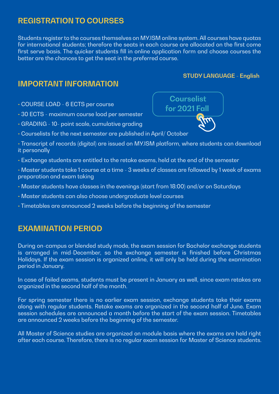### **REGISTRATION TO COURSES**

Students register to the courses themselves on MY.ISM online system. All courses have quotas for international students; therefore the seats in each course are allocated on the first come first serve basis. The quicker students fill in online application form and choose courses the better are the chances to get the seat in the preferred course.

### **IMPORTANT INFORMATION**

- COURSE LOAD 6 ECTS per course
- 30 ECTS maximum course load per semester
- GRADING 10- point scale, cumulative grading
- Courselists for the next semester are published in April/ October
- Transcript of records (digital) are issued on MY.ISM platform, where students can download it personally
- Exchange students are entitled to the retake exams, held at the end of the semester
- Master students take 1 course at a time 3 weeks of classes are followed by 1 week of exams preparation and exam taking
- Master students have classes in the evenings (start from 18:00) and/or on Saturdays
- Master students can also choose undergraduate level courses
- Timetables are announced 2 weeks before the beginning of the semester

### **EXAMINATION PERIOD**

During on-campus or blended study mode, the exam session for Bachelor exchange students is arranged in mid-December, so the exchange semester is finished before Christmas Holidays. If the exam session is organized online, it will only be held during the examination period in January.

In case of failed exams, students must be present in January as well, since exam retakes are organized in the second half of the month.

For spring semester there is no earlier exam session, exchange students take their exams along with regular students. Retake exams are organized in the second half of June. Exam session schedules are announced a month before the start of the exam session. Timetables are announced 2 weeks before the beginning of the semester.

All Master of Science studies are organized on module basis where the exams are held right after each course. Therefore, there is no regular exam session for Master of Science students.



**STUDY LANGUAGE - English**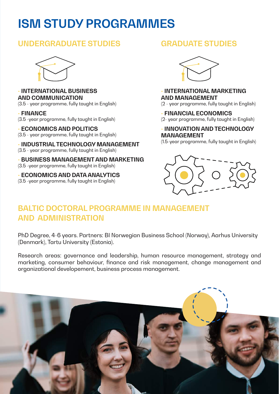## **ISM STUDY PROGRAMMES**

### **UNDERGRADUATE STUDIES**



#### • **INTERNATIONAL BUSINESS AND COMMUNICATION**

(3.5 - year programme, fully taught in English)

• **FINANCE**  (3.5 -year programme, fully taught in English)

• **ECONOMICS AND POLITICS** (3.5 - year programme, fully taught in English)

• **INDUSTRIAL TECHNOLOGY MANAGEMENT** (3.5 - year programme, fully taught in English)

• **BUSINESS MANAGEMENT AND MARKETING** (3.5 -year programme, fully taught in English)

• **ECONOMICS AND DATA ANALYTICS** (3.5 -year programme, fully taught in English)

## **GRADUATE STUDIES**



#### • **INTERNATIONAL MARKETING AND MANAGEMENT**

(2 - year programme, fully taught in English)

#### • **FINANCIAL ECONOMICS**

(2- year programme, fully taught in English)

#### • **INNOVATION AND TECHNOLOGY MANAGEMENT**

(1.5-year programme, fully taught in English)



## **BALTIC DOCTORAL PROGRAMME IN MANAGEMENT AND ADMINISTRATION**

PhD Degree, 4-6 years. Partners: BI Norwegian Business School (Norway), Aarhus University (Denmark), Tartu University (Estonia).

Research areas: governance and leadership, human resource management, strategy and marketing, consumer behaviour, finance and risk management, change management and organizational developement, business process management.

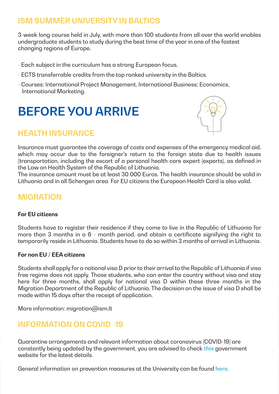## **ISM SUMMER UNIVERSITY IN BALTICS**

3-week long course held in July, with more than 100 students from all over the world enables undergraduate students to study during the best time of the year in one of the fastest changing regions of Europe.

- Each subject in the curriculum has a strong European focus.
- ECTS transferrable credits from the top ranked university in the Baltics.
- Courses: International Project Management, International Business; Economics, International Marketing.

## **BEFORE YOU ARRIVE**

## **HEALTH INSURANCE**



Insurance must guarantee the coverage of costs and expenses of the emergency medical aid, which may occur due to the foreigner's return to the foreign state due to health issues (transportation, including the escort of a personal health care expert (experts), as defined in the Law on Health System of the Republic of Lithuania.

The insurance amount must be at least 30 000 Euros. The health insurance should be valid in Lithuania and in all Schengen area. For EU citizens the European Health Card is also valid.

## **MIGRATION**

#### **For EU citizens**

Students have to register their residence if they come to live in the Republic of Lithuania for more than 3 months in a 6 - month period, and obtain a certificate signifying the right to temporarily reside in Lithuania. Students have to do so within 3 months of arrival in Lithuania.

#### **For non EU / EEA citizens**

Students shall apply for a national visa D prior to their arrival to the Republic of Lithuania if visa free regime does not apply. Those students, who can enter the country without visa and stay here for three months, shall apply for national visa D within these three months in the Migration Department of the Republic of Lithuania. The decision on the issue of visa D shall be made within 15 days after the receipt of application.

More information: migration@ism.lt

### **INFORMATION ON COVID -19**

Quarantine arrangements and relevant information about coronavirus (COVID-19) are constantly being updated by the government, you are advised to check **this** [gove](https://koronastop.lrv.lt/en/)rnment website for the latest details.

General information on prevention measures at the University can be found **[here.](https://www.ism.lt/en/covid-19/)**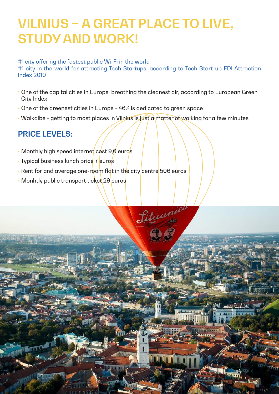## **VILNIUS – A GREAT PLACE TO LIVE, STUDY AND WORK!**

#### #1 city offering the fastest public Wi-Fi in the world

#1 city in the world for attracting Tech Startups, according to Tech Start-up FDI Attraction Index 2019

One of the capital cities in Europe breathing the cleanest air, according to European Green • City Index

Lituanic

**THE REAL PROPERTY** 

- One of the greenest cities in Europe 46% is dedicated to green space
- Walkalbe getting to most places in Vilnius is just a matter of walking for a few minutes

## **PRICE LEVELS:**

- Monthly high speed internet  $\cos\theta$ ,  $\sin\theta$  euros
- Typical business lunch price 7 euros
- Rent for and average one-room flat in the city centre 506 euros
- Monhtly public transport ticket 29 euros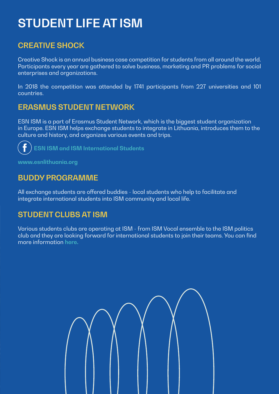## **STUDENT LIFE AT ISM**

## **CREATIVE SHOCK**

Creative Shock is an annual business case competition for students from all around the world. Participants every year are gathered to solve business, marketing and PR problems for social enterprises and organizations.

In 2018 the competition was attended by 1741 participants from 227 universities and 101 countries.

## **ERASMUS STUDENT NETWORK**

ESN ISM is a part of Erasmus Student Network, which is the biggest student organization in Europe. ESN ISM helps exchange students to integrate in Lithuania, introduces them to the culture and history, and organizes various events and trips.

**[ESN ISM and ISM International Students](https://www.facebook.com/ESN.ISM)** 

**[www.esnlithuania.org](http://www.esnlithuania.org)** 

## **BUDDY PROGRAMME**

All exchange students are offered buddies - local students who help to facilitate and integrate international students into ISM community and local life.

## **STUDENT CLUBS AT ISM**

Various students clubs are operating at ISM - from ISM Vocal ensemble to the ISM politics club and they are looking forward for international students to join their teams. You can find more information **[here.](https://www.ism.lt/en/student-clubs-and-organisations/)**